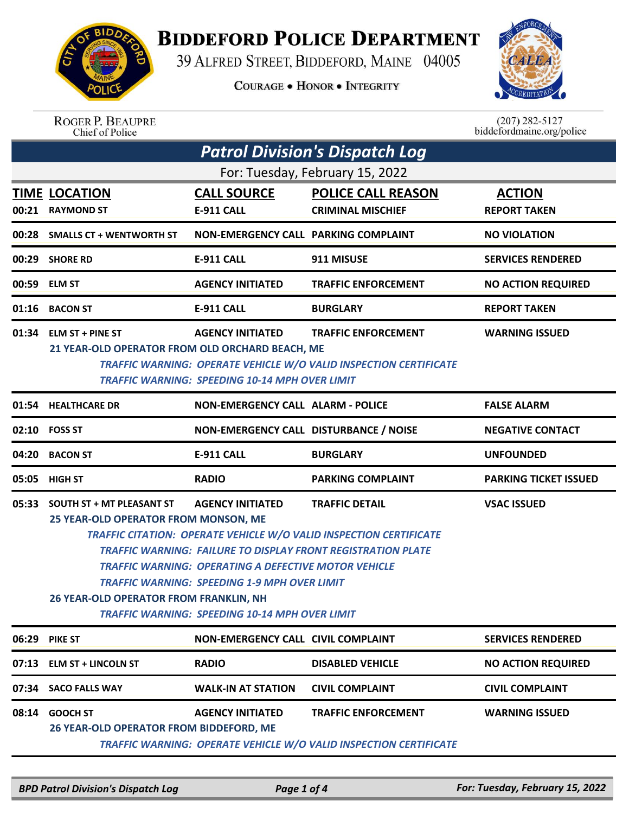

## **BIDDEFORD POLICE DEPARTMENT**

39 ALFRED STREET, BIDDEFORD, MAINE 04005

**COURAGE . HONOR . INTEGRITY** 



ROGER P. BEAUPRE<br>Chief of Police

 $(207)$  282-5127<br>biddefordmaine.org/police

| <b>Patrol Division's Dispatch Log</b>                                     |                                                                                                                                                                                                                |                                          |                                                                     |                              |  |  |
|---------------------------------------------------------------------------|----------------------------------------------------------------------------------------------------------------------------------------------------------------------------------------------------------------|------------------------------------------|---------------------------------------------------------------------|------------------------------|--|--|
| For: Tuesday, February 15, 2022                                           |                                                                                                                                                                                                                |                                          |                                                                     |                              |  |  |
|                                                                           | <b>TIME LOCATION</b>                                                                                                                                                                                           | <b>CALL SOURCE</b>                       | <b>POLICE CALL REASON</b>                                           | <b>ACTION</b>                |  |  |
|                                                                           | 00:21 RAYMOND ST                                                                                                                                                                                               | <b>E-911 CALL</b>                        | <b>CRIMINAL MISCHIEF</b>                                            | <b>REPORT TAKEN</b>          |  |  |
|                                                                           | 00:28 SMALLS CT + WENTWORTH ST                                                                                                                                                                                 | NON-EMERGENCY CALL PARKING COMPLAINT     |                                                                     | <b>NO VIOLATION</b>          |  |  |
|                                                                           | 00:29 SHORE RD                                                                                                                                                                                                 | <b>E-911 CALL</b>                        | 911 MISUSE                                                          | <b>SERVICES RENDERED</b>     |  |  |
|                                                                           | 00:59 ELM ST                                                                                                                                                                                                   | <b>AGENCY INITIATED</b>                  | <b>TRAFFIC ENFORCEMENT</b>                                          | <b>NO ACTION REQUIRED</b>    |  |  |
|                                                                           | 01:16 BACON ST                                                                                                                                                                                                 | <b>E-911 CALL</b>                        | <b>BURGLARY</b>                                                     | <b>REPORT TAKEN</b>          |  |  |
|                                                                           | 01:34 ELM ST + PINE ST                                                                                                                                                                                         | <b>AGENCY INITIATED</b>                  | <b>TRAFFIC ENFORCEMENT</b>                                          | <b>WARNING ISSUED</b>        |  |  |
|                                                                           | 21 YEAR-OLD OPERATOR FROM OLD ORCHARD BEACH, ME                                                                                                                                                                |                                          |                                                                     |                              |  |  |
|                                                                           | <b>TRAFFIC WARNING: OPERATE VEHICLE W/O VALID INSPECTION CERTIFICATE</b>                                                                                                                                       |                                          |                                                                     |                              |  |  |
|                                                                           | <b>TRAFFIC WARNING: SPEEDING 10-14 MPH OVER LIMIT</b>                                                                                                                                                          |                                          |                                                                     |                              |  |  |
|                                                                           | 01:54 HEALTHCARE DR                                                                                                                                                                                            | <b>NON-EMERGENCY CALL ALARM - POLICE</b> |                                                                     | <b>FALSE ALARM</b>           |  |  |
|                                                                           | 02:10 FOSS ST                                                                                                                                                                                                  | NON-EMERGENCY CALL DISTURBANCE / NOISE   |                                                                     | <b>NEGATIVE CONTACT</b>      |  |  |
| 04:20                                                                     | <b>BACON ST</b>                                                                                                                                                                                                | <b>E-911 CALL</b>                        | <b>BURGLARY</b>                                                     | <b>UNFOUNDED</b>             |  |  |
| 05:05                                                                     | <b>HIGH ST</b>                                                                                                                                                                                                 | <b>RADIO</b>                             | <b>PARKING COMPLAINT</b>                                            | <b>PARKING TICKET ISSUED</b> |  |  |
| 05:33                                                                     | <b>SOUTH ST + MT PLEASANT ST</b>                                                                                                                                                                               | <b>AGENCY INITIATED</b>                  | <b>TRAFFIC DETAIL</b>                                               | <b>VSAC ISSUED</b>           |  |  |
|                                                                           | 25 YEAR-OLD OPERATOR FROM MONSON, ME                                                                                                                                                                           |                                          |                                                                     |                              |  |  |
| <b>TRAFFIC CITATION: OPERATE VEHICLE W/O VALID INSPECTION CERTIFICATE</b> |                                                                                                                                                                                                                |                                          |                                                                     |                              |  |  |
|                                                                           |                                                                                                                                                                                                                |                                          | <b>TRAFFIC WARNING: FAILURE TO DISPLAY FRONT REGISTRATION PLATE</b> |                              |  |  |
|                                                                           | <b>TRAFFIC WARNING: OPERATING A DEFECTIVE MOTOR VEHICLE</b><br>TRAFFIC WARNING: SPEEDING 1-9 MPH OVER LIMIT<br>26 YEAR-OLD OPERATOR FROM FRANKLIN, NH<br><b>TRAFFIC WARNING: SPEEDING 10-14 MPH OVER LIMIT</b> |                                          |                                                                     |                              |  |  |
|                                                                           |                                                                                                                                                                                                                |                                          |                                                                     |                              |  |  |
|                                                                           |                                                                                                                                                                                                                |                                          |                                                                     |                              |  |  |
|                                                                           |                                                                                                                                                                                                                |                                          |                                                                     |                              |  |  |
|                                                                           | 06:29 PIKE ST                                                                                                                                                                                                  | NON-EMERGENCY CALL CIVIL COMPLAINT       |                                                                     | <b>SERVICES RENDERED</b>     |  |  |
| 07:13                                                                     | <b>ELM ST + LINCOLN ST</b>                                                                                                                                                                                     | <b>RADIO</b>                             | <b>DISABLED VEHICLE</b>                                             | <b>NO ACTION REQUIRED</b>    |  |  |
| 07:34                                                                     | <b>SACO FALLS WAY</b>                                                                                                                                                                                          | <b>WALK-IN AT STATION</b>                | <b>CIVIL COMPLAINT</b>                                              | <b>CIVIL COMPLAINT</b>       |  |  |
| 08:14                                                                     | <b>GOOCH ST</b>                                                                                                                                                                                                | <b>AGENCY INITIATED</b>                  | <b>TRAFFIC ENFORCEMENT</b>                                          | <b>WARNING ISSUED</b>        |  |  |
|                                                                           | 26 YEAR-OLD OPERATOR FROM BIDDEFORD, ME<br><b>TRAFFIC WARNING: OPERATE VEHICLE W/O VALID INSPECTION CERTIFICATE</b>                                                                                            |                                          |                                                                     |                              |  |  |
|                                                                           |                                                                                                                                                                                                                |                                          |                                                                     |                              |  |  |

*BPD Patrol Division's Dispatch Log Page 1 of 4 For: Tuesday, February 15, 2022*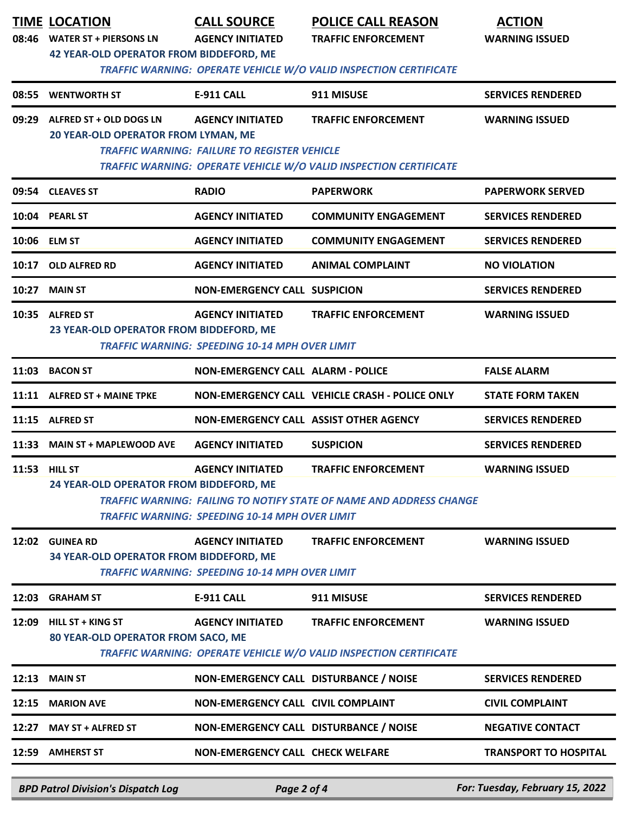|       | <b>TIME LOCATION</b><br>08:46 WATER ST + PIERSONS LN<br><b>42 YEAR-OLD OPERATOR FROM BIDDEFORD, ME</b> | <b>CALL SOURCE</b><br><b>AGENCY INITIATED</b>                                    | <b>POLICE CALL REASON</b><br><b>TRAFFIC ENFORCEMENT</b><br>TRAFFIC WARNING: OPERATE VEHICLE W/O VALID INSPECTION CERTIFICATE | <b>ACTION</b><br><b>WARNING ISSUED</b> |
|-------|--------------------------------------------------------------------------------------------------------|----------------------------------------------------------------------------------|------------------------------------------------------------------------------------------------------------------------------|----------------------------------------|
| 08:55 | <b>WENTWORTH ST</b>                                                                                    | <b>E-911 CALL</b>                                                                | 911 MISUSE                                                                                                                   | <b>SERVICES RENDERED</b>               |
| 09:29 | ALFRED ST + OLD DOGS LN<br>20 YEAR-OLD OPERATOR FROM LYMAN, ME                                         | <b>AGENCY INITIATED</b><br><b>TRAFFIC WARNING: FAILURE TO REGISTER VEHICLE</b>   | <b>TRAFFIC ENFORCEMENT</b><br>TRAFFIC WARNING: OPERATE VEHICLE W/O VALID INSPECTION CERTIFICATE                              | <b>WARNING ISSUED</b>                  |
|       | 09:54 CLEAVES ST                                                                                       | <b>RADIO</b>                                                                     | <b>PAPERWORK</b>                                                                                                             | <b>PAPERWORK SERVED</b>                |
|       | 10:04 PEARL ST                                                                                         | <b>AGENCY INITIATED</b>                                                          | <b>COMMUNITY ENGAGEMENT</b>                                                                                                  | <b>SERVICES RENDERED</b>               |
|       | 10:06 ELM ST                                                                                           | <b>AGENCY INITIATED</b>                                                          | <b>COMMUNITY ENGAGEMENT</b>                                                                                                  | <b>SERVICES RENDERED</b>               |
| 10:17 | OLD ALFRED RD                                                                                          | <b>AGENCY INITIATED</b>                                                          | <b>ANIMAL COMPLAINT</b>                                                                                                      | <b>NO VIOLATION</b>                    |
| 10:27 | <b>MAIN ST</b>                                                                                         | <b>NON-EMERGENCY CALL SUSPICION</b>                                              |                                                                                                                              | <b>SERVICES RENDERED</b>               |
|       | 10:35 ALFRED ST<br>23 YEAR-OLD OPERATOR FROM BIDDEFORD, ME                                             | <b>AGENCY INITIATED</b><br><b>TRAFFIC WARNING: SPEEDING 10-14 MPH OVER LIMIT</b> | <b>TRAFFIC ENFORCEMENT</b>                                                                                                   | <b>WARNING ISSUED</b>                  |
| 11:03 | <b>BACON ST</b>                                                                                        | <b>NON-EMERGENCY CALL ALARM - POLICE</b>                                         |                                                                                                                              | <b>FALSE ALARM</b>                     |
|       | 11:11 ALFRED ST + MAINE TPKE                                                                           |                                                                                  | NON-EMERGENCY CALL VEHICLE CRASH - POLICE ONLY                                                                               | <b>STATE FORM TAKEN</b>                |
|       | 11:15 ALFRED ST                                                                                        | NON-EMERGENCY CALL ASSIST OTHER AGENCY                                           |                                                                                                                              | <b>SERVICES RENDERED</b>               |
|       | 11:33 MAIN ST + MAPLEWOOD AVE                                                                          | <b>AGENCY INITIATED</b>                                                          | <b>SUSPICION</b>                                                                                                             | <b>SERVICES RENDERED</b>               |
|       | 11:53 HILL ST<br>24 YEAR-OLD OPERATOR FROM BIDDEFORD, ME                                               | <b>AGENCY INITIATED</b><br><b>TRAFFIC WARNING: SPEEDING 10-14 MPH OVER LIMIT</b> | <b>TRAFFIC ENFORCEMENT</b><br><b>TRAFFIC WARNING: FAILING TO NOTIFY STATE OF NAME AND ADDRESS CHANGE</b>                     | <b>WARNING ISSUED</b>                  |
|       | 12:02 GUINEA RD<br>34 YEAR-OLD OPERATOR FROM BIDDEFORD, ME                                             | <b>AGENCY INITIATED</b><br><b>TRAFFIC WARNING: SPEEDING 10-14 MPH OVER LIMIT</b> | <b>TRAFFIC ENFORCEMENT</b>                                                                                                   | <b>WARNING ISSUED</b>                  |
| 12:03 | <b>GRAHAM ST</b>                                                                                       | <b>E-911 CALL</b>                                                                | 911 MISUSE                                                                                                                   | <b>SERVICES RENDERED</b>               |
| 12:09 | <b>HILL ST + KING ST</b><br>80 YEAR-OLD OPERATOR FROM SACO, ME                                         | <b>AGENCY INITIATED</b>                                                          | <b>TRAFFIC ENFORCEMENT</b><br>TRAFFIC WARNING: OPERATE VEHICLE W/O VALID INSPECTION CERTIFICATE                              | <b>WARNING ISSUED</b>                  |
| 12:13 | <b>MAIN ST</b>                                                                                         | NON-EMERGENCY CALL DISTURBANCE / NOISE                                           |                                                                                                                              | <b>SERVICES RENDERED</b>               |
| 12:15 | <b>MARION AVE</b>                                                                                      | NON-EMERGENCY CALL CIVIL COMPLAINT                                               |                                                                                                                              | <b>CIVIL COMPLAINT</b>                 |
| 12:27 | <b>MAY ST + ALFRED ST</b>                                                                              | NON-EMERGENCY CALL DISTURBANCE / NOISE                                           |                                                                                                                              | <b>NEGATIVE CONTACT</b>                |
|       | 12:59 AMHERST ST                                                                                       | <b>NON-EMERGENCY CALL CHECK WELFARE</b>                                          |                                                                                                                              | <b>TRANSPORT TO HOSPITAL</b>           |
|       | <b>BPD Patrol Division's Dispatch Log</b>                                                              | Page 2 of 4                                                                      |                                                                                                                              | For: Tuesday, February 15, 2022        |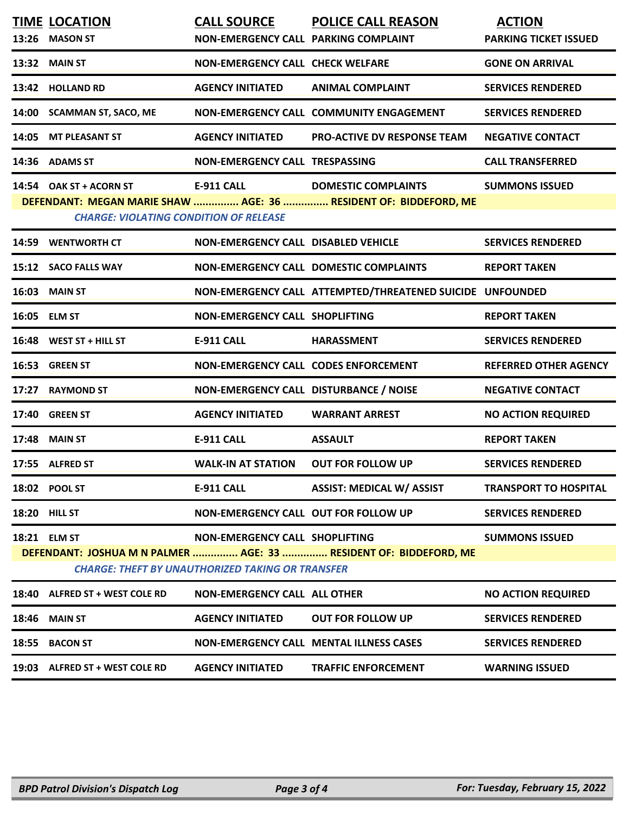|       | <b>TIME LOCATION</b><br>13:26 MASON ST                                   | <b>CALL SOURCE</b><br>NON-EMERGENCY CALL PARKING COMPLAINT                                | <b>POLICE CALL REASON</b>                                                                      | <b>ACTION</b><br><b>PARKING TICKET ISSUED</b> |
|-------|--------------------------------------------------------------------------|-------------------------------------------------------------------------------------------|------------------------------------------------------------------------------------------------|-----------------------------------------------|
|       | 13:32 MAIN ST                                                            | <b>NON-EMERGENCY CALL CHECK WELFARE</b>                                                   |                                                                                                | <b>GONE ON ARRIVAL</b>                        |
|       | 13:42 HOLLAND RD                                                         | <b>AGENCY INITIATED</b>                                                                   | <b>ANIMAL COMPLAINT</b>                                                                        | <b>SERVICES RENDERED</b>                      |
|       | 14:00 SCAMMAN ST, SACO, ME                                               |                                                                                           | NON-EMERGENCY CALL COMMUNITY ENGAGEMENT                                                        | <b>SERVICES RENDERED</b>                      |
|       | 14:05 MT PLEASANT ST                                                     | <b>AGENCY INITIATED</b>                                                                   | <b>PRO-ACTIVE DV RESPONSE TEAM</b>                                                             | <b>NEGATIVE CONTACT</b>                       |
|       | 14:36 ADAMS ST                                                           | NON-EMERGENCY CALL TRESPASSING                                                            |                                                                                                | <b>CALL TRANSFERRED</b>                       |
|       | 14:54 OAK ST + ACORN ST<br><b>CHARGE: VIOLATING CONDITION OF RELEASE</b> | <b>E-911 CALL</b>                                                                         | <b>DOMESTIC COMPLAINTS</b><br>DEFENDANT: MEGAN MARIE SHAW  AGE: 36  RESIDENT OF: BIDDEFORD, ME | <b>SUMMONS ISSUED</b>                         |
|       | 14:59 WENTWORTH CT                                                       | NON-EMERGENCY CALL DISABLED VEHICLE                                                       |                                                                                                | <b>SERVICES RENDERED</b>                      |
|       | 15:12 SACO FALLS WAY                                                     |                                                                                           | NON-EMERGENCY CALL DOMESTIC COMPLAINTS                                                         | <b>REPORT TAKEN</b>                           |
|       | 16:03 MAIN ST                                                            |                                                                                           | NON-EMERGENCY CALL ATTEMPTED/THREATENED SUICIDE UNFOUNDED                                      |                                               |
|       | 16:05 ELM ST                                                             | <b>NON-EMERGENCY CALL SHOPLIFTING</b>                                                     |                                                                                                | <b>REPORT TAKEN</b>                           |
|       | 16:48 WEST ST + HILL ST                                                  | <b>E-911 CALL</b>                                                                         | <b>HARASSMENT</b>                                                                              | <b>SERVICES RENDERED</b>                      |
|       | 16:53 GREEN ST                                                           | <b>NON-EMERGENCY CALL CODES ENFORCEMENT</b>                                               |                                                                                                | <b>REFERRED OTHER AGENCY</b>                  |
|       | 17:27 RAYMOND ST                                                         | NON-EMERGENCY CALL DISTURBANCE / NOISE                                                    |                                                                                                | <b>NEGATIVE CONTACT</b>                       |
|       | 17:40 GREEN ST                                                           | <b>AGENCY INITIATED</b>                                                                   | <b>WARRANT ARREST</b>                                                                          | <b>NO ACTION REQUIRED</b>                     |
|       | <b>17:48 MAIN ST</b>                                                     | <b>E-911 CALL</b>                                                                         | <b>ASSAULT</b>                                                                                 | <b>REPORT TAKEN</b>                           |
|       | 17:55 ALFRED ST                                                          | <b>WALK-IN AT STATION</b>                                                                 | <b>OUT FOR FOLLOW UP</b>                                                                       | <b>SERVICES RENDERED</b>                      |
|       | 18:02 POOL ST                                                            | E-911 CALL                                                                                | <b>ASSIST: MEDICAL W/ ASSIST</b>                                                               | <b>TRANSPORT TO HOSPITAL</b>                  |
|       | <b>18:20 HILL ST</b>                                                     | NON-EMERGENCY CALL OUT FOR FOLLOW UP                                                      |                                                                                                | <b>SERVICES RENDERED</b>                      |
|       | <b>18:21 ELM ST</b>                                                      | NON-EMERGENCY CALL SHOPLIFTING<br><b>CHARGE: THEFT BY UNAUTHORIZED TAKING OR TRANSFER</b> | DEFENDANT: JOSHUA M N PALMER  AGE: 33  RESIDENT OF: BIDDEFORD, ME                              | <b>SUMMONS ISSUED</b>                         |
|       | 18:40 ALFRED ST + WEST COLE RD                                           | <b>NON-EMERGENCY CALL ALL OTHER</b>                                                       |                                                                                                | <b>NO ACTION REQUIRED</b>                     |
| 18:46 | <b>MAIN ST</b>                                                           | <b>AGENCY INITIATED</b>                                                                   | <b>OUT FOR FOLLOW UP</b>                                                                       | <b>SERVICES RENDERED</b>                      |
| 18:55 | <b>BACON ST</b>                                                          |                                                                                           | <b>NON-EMERGENCY CALL MENTAL ILLNESS CASES</b>                                                 | <b>SERVICES RENDERED</b>                      |
|       | 19:03 ALFRED ST + WEST COLE RD                                           | <b>AGENCY INITIATED</b>                                                                   | <b>TRAFFIC ENFORCEMENT</b>                                                                     | <b>WARNING ISSUED</b>                         |